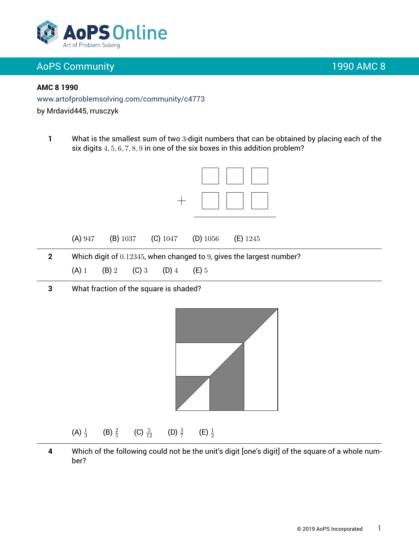

#### **AMC 8 1990**

www.artofproblemsolving.com/community/c4773

by Mrdavid445, rrusczyk

**1** What is the smallest sum of two 3-digit numbers that can be obtained by placing each of the six digits 4, 5, 6, 7, 8, 9 in one of the six boxes in this addition problem?



- - (A) 1 (B) 2 (C) 3 (D) 4 (E) 5
- **3** What fraction of the square is shaded?



#### (A)  $\frac{1}{3}$ (B)  $\frac{2}{5}$ (C)  $\frac{5}{12}$  $rac{5}{12}$  (D)  $rac{3}{7}$ (E)  $\frac{1}{2}$

**4** Which of the following could not be the unit's digit [one's digit] of the square of a whole number?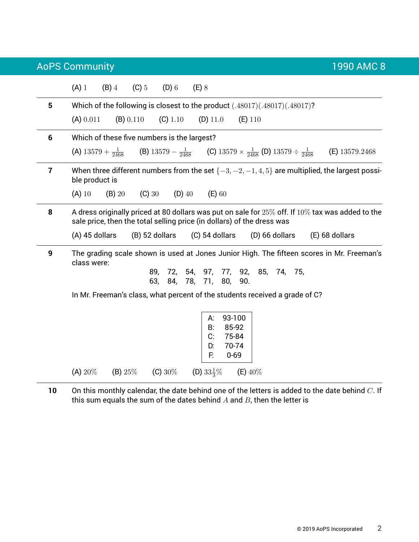AoPS Community 1990 AMC 8 (A) 1 (B) 4 (C) 5 (D) 6 (E) 8 **5** Which of the following is closest to the product (.48017)(.48017)(.48017)? (A)  $0.011$  (B)  $0.110$  (C)  $1.10$  (D)  $11.0$  (E)  $110$ **6** Which of these five numbers is the largest? (A)  $13579 + \frac{1}{2468}$  $\frac{1}{2468}$  (B)  $13579 - \frac{1}{246}$  $\frac{1}{2468}$  (C) 13579  $\times$   $\frac{1}{2468}$  (D) 13579  $\div$   $\frac{1}{246}$ <sup>2468</sup> (E) 13579.2468 **7** When three different numbers from the set {−3, −2, −1, 4, 5} are multiplied, the largest possible product is (A) 10 (B) 20 (C) 30 (D) 40 (E) 60 **8** A dress originally priced at 80 dollars was put on sale for 25% off. If 10% tax was added to the sale price, then the total selling price (in dollars) of the dress was (A) 45 dollars (B) 52 dollars (C) 54 dollars (D) 66 dollars (E) 68 dollars **9** The grading scale shown is used at Jones Junior High. The fifteen scores in Mr. Freeman's class were: 89, 72, 54, 97, 77, 92, 85, 74, 75, 63, 84, 78, 71, 80, 90. In Mr. Freeman's class, what percent of the students received a grade of C? A: 93-100 B: 85-92 C: 75-84 D: 70-74 F: 0-69 (A)  $20\%$  (B)  $25\%$  (C)  $30\%$  (D)  $33\frac{1}{3}\%$  $(E)$  40%

**10** On this monthly calendar, the date behind one of the letters is added to the date behind C. If this sum equals the sum of the dates behind  $A$  and  $B$ , then the letter is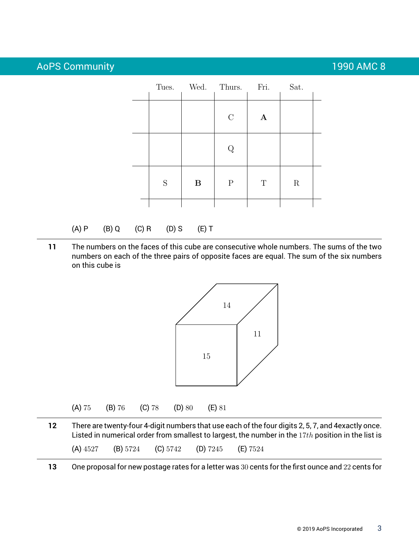|  |             |   | Tues. Wed. Thurs. | Fri.         | Sat.        |  |
|--|-------------|---|-------------------|--------------|-------------|--|
|  |             |   | $\mathbf C$       | $\mathbf{A}$ |             |  |
|  |             |   | Q                 |              |             |  |
|  | $\mathbf S$ | B | $\mathbf P$       | $\mathbf T$  | $\mathbf R$ |  |
|  |             |   |                   |              |             |  |

#### (A) P (B) Q (C) R (D) S (E) T

**11** The numbers on the faces of this cube are consecutive whole numbers. The sums of the two numbers on each of the three pairs of opposite faces are equal. The sum of the six numbers on this cube is



**12** There are twenty-four 4-digit numbers that use each of the four digits 2, 5, 7, and 4exactly once. Listed in numerical order from smallest to largest, the number in the  $17th$  position in the list is (A) 4527 (B) 5724 (C) 5742 (D) 7245 (E) 7524

**13** One proposal for new postage rates for a letter was 30 cents for the first ounce and 22 cents for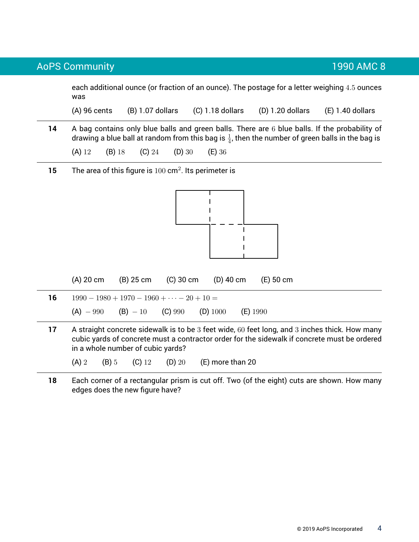each additional ounce (or fraction of an ounce). The postage for a letter weighing 4.5 ounces was

(A) 96 cents (B) 1.07 dollars (C) 1.18 dollars (D) 1.20 dollars (E) 1.40 dollars

**14** A bag contains only blue balls and green balls. There are 6 blue balls. If the probability of drawing a blue ball at random from this bag is  $\frac{1}{4}$ , then the number of green balls in the bag is

(A) 12 (B) 18 (C) 24 (D) 30 (E) 36

**15** The area of this figure is 100 cm<sup>2</sup>. Its perimeter is



|    | $(A)$ 20 cm                                      | (B) 25 cm                                   |  | $(C)$ 30 cm $(D)$ 40 cm | (E) 50 cm                                                                           |  |  |
|----|--------------------------------------------------|---------------------------------------------|--|-------------------------|-------------------------------------------------------------------------------------|--|--|
| 16 | $1990 - 1980 + 1970 - 1960 + \cdots - 20 + 10 =$ |                                             |  |                         |                                                                                     |  |  |
|    |                                                  | $(A) - 990$ $(B) - 10$ $(C) 990$ $(D) 1000$ |  |                         | $(E)$ 1990                                                                          |  |  |
|    |                                                  |                                             |  |                         | A stroight approach oilear is to be 2 feet wide can less and 2 inches this Usu mony |  |  |

**17** A straight concrete sidewalk is to be 3 feet wide, 60 feet long, and 3 inches thick. How many cubic yards of concrete must a contractor order for the sidewalk if concrete must be ordered in a whole number of cubic yards?

(A) 2 (B) 5 (C) 12 (D) 20 (E) more than 20

**18** Each corner of a rectangular prism is cut off. Two (of the eight) cuts are shown. How many edges does the new figure have?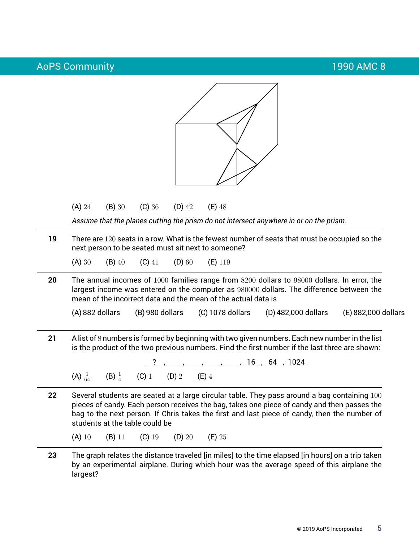

(A) 24 (B) 30 (C) 36 (D) 42 (E) 48

*Assume that the planes cutting the prism do not intersect anywhere in or on the prism.*

**19** There are 120 seats in a row. What is the fewest number of seats that must be occupied so the next person to be seated must sit next to someone?

(A) 30 (B) 40 (C) 41 (D) 60 (E) 119

**20** The annual incomes of 1000 families range from 8200 dollars to 98000 dollars. In error, the largest income was entered on the computer as 980000 dollars. The difference between the mean of the incorrect data and the mean of the actual data is

(A) 882 dollars (B) 980 dollars (C) 1078 dollars (D) 482,000 dollars (E) 882,000 dollars

**21** A list of 8 numbers is formed by beginning with two given numbers. Each new number in the list is the product of the two previous numbers. Find the first number if the last three are shown:

? , , , , , 16 , 64 , 1024  $(A) \frac{1}{64}$  $\frac{1}{64}$  (B)  $\frac{1}{4}$ (C) 1 (D) 2 (E) 4

**22** Several students are seated at a large circular table. They pass around a bag containing 100 pieces of candy. Each person receives the bag, takes one piece of candy and then passes the bag to the next person. If Chris takes the first and last piece of candy, then the number of students at the table could be

(A) 10 (B) 11 (C) 19 (D) 20 (E) 25

**23** The graph relates the distance traveled [in miles] to the time elapsed [in hours] on a trip taken by an experimental airplane. During which hour was the average speed of this airplane the largest?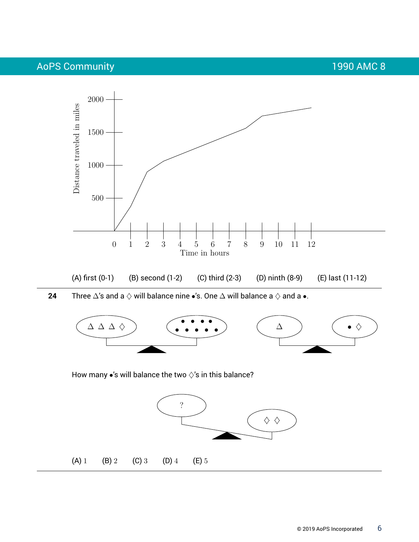